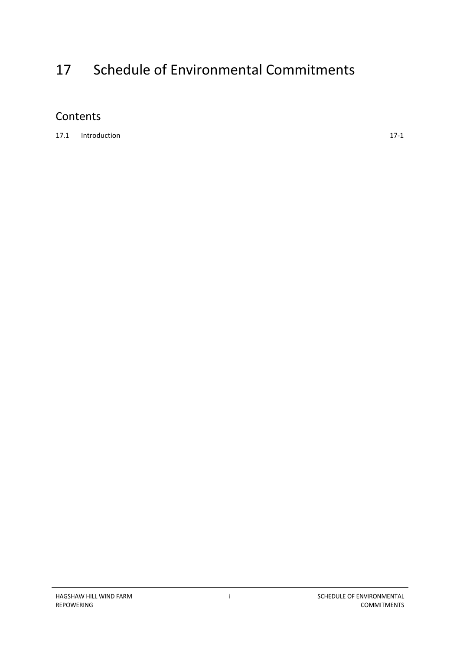# 17 Schedule of Environmental Commitments

### **Contents**

17.1 [Introduction](#page-2-0) 17-1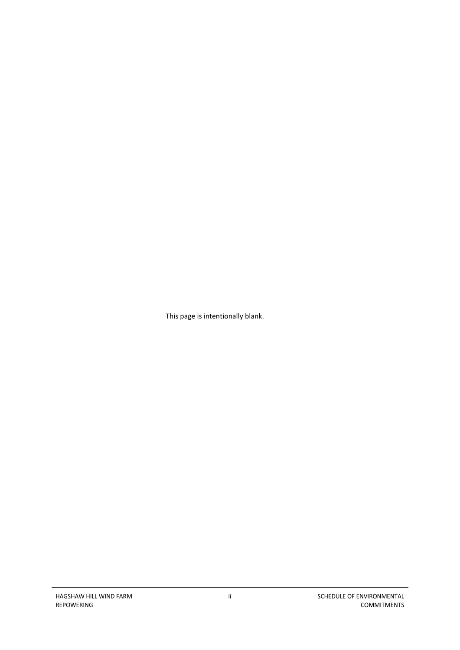This page is intentionally blank.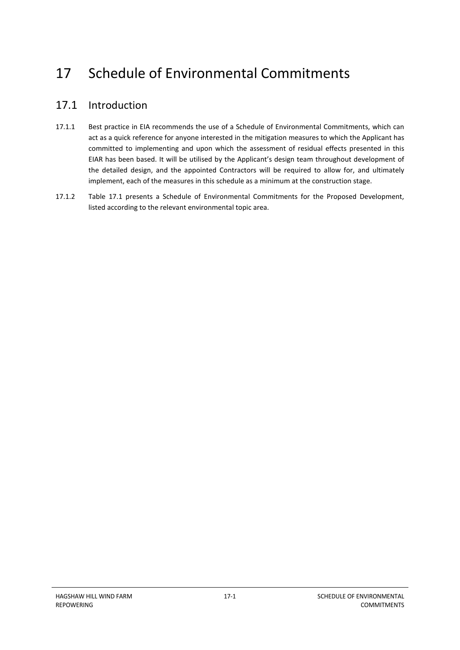## 17 Schedule of Environmental Commitments

#### <span id="page-2-0"></span>17.1 Introduction

- 17.1.1 Best practice in EIA recommends the use of a Schedule of Environmental Commitments, which can act as a quick reference for anyone interested in the mitigation measures to which the Applicant has committed to implementing and upon which the assessment of residual effects presented in this EIAR has been based. It will be utilised by the Applicant's design team throughout development of the detailed design, and the appointed Contractors will be required to allow for, and ultimately implement, each of the measures in this schedule as a minimum at the construction stage.
- 17.1.2 Table 17.1 presents a Schedule of Environmental Commitments for the Proposed Development, listed according to the relevant environmental topic area.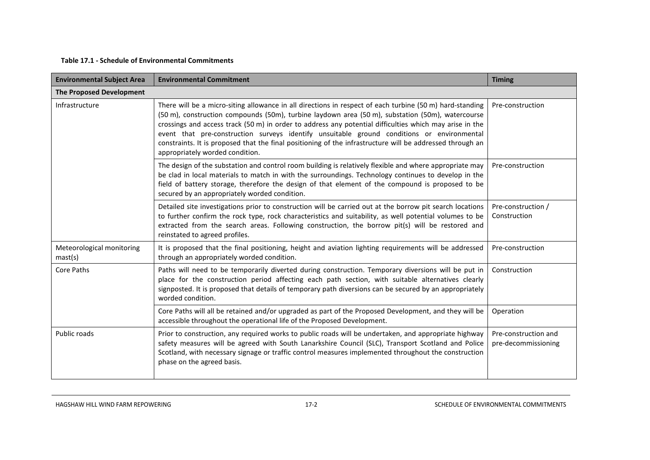#### **Table 17.1 - Schedule of Environmental Commitments**

| <b>Environmental Subject Area</b>             | <b>Environmental Commitment</b>                                                                                                                                                                                                                                                                                                                                                                                                                                                                                                                                       | <b>Timing</b>                               |
|-----------------------------------------------|-----------------------------------------------------------------------------------------------------------------------------------------------------------------------------------------------------------------------------------------------------------------------------------------------------------------------------------------------------------------------------------------------------------------------------------------------------------------------------------------------------------------------------------------------------------------------|---------------------------------------------|
| <b>The Proposed Development</b>               |                                                                                                                                                                                                                                                                                                                                                                                                                                                                                                                                                                       |                                             |
| Infrastructure                                | There will be a micro-siting allowance in all directions in respect of each turbine (50 m) hard-standing<br>(50 m), construction compounds (50m), turbine laydown area (50 m), substation (50m), watercourse<br>crossings and access track (50 m) in order to address any potential difficulties which may arise in the<br>event that pre-construction surveys identify unsuitable ground conditions or environmental<br>constraints. It is proposed that the final positioning of the infrastructure will be addressed through an<br>appropriately worded condition. | Pre-construction                            |
|                                               | The design of the substation and control room building is relatively flexible and where appropriate may<br>be clad in local materials to match in with the surroundings. Technology continues to develop in the<br>field of battery storage, therefore the design of that element of the compound is proposed to be<br>secured by an appropriately worded condition.                                                                                                                                                                                                  | Pre-construction                            |
|                                               | Detailed site investigations prior to construction will be carried out at the borrow pit search locations<br>to further confirm the rock type, rock characteristics and suitability, as well potential volumes to be<br>extracted from the search areas. Following construction, the borrow pit(s) will be restored and<br>reinstated to agreed profiles.                                                                                                                                                                                                             | Pre-construction /<br>Construction          |
| Meteorological monitoring<br>$\text{mast}(s)$ | It is proposed that the final positioning, height and aviation lighting requirements will be addressed<br>through an appropriately worded condition.                                                                                                                                                                                                                                                                                                                                                                                                                  | Pre-construction                            |
| Core Paths                                    | Paths will need to be temporarily diverted during construction. Temporary diversions will be put in<br>place for the construction period affecting each path section, with suitable alternatives clearly<br>signposted. It is proposed that details of temporary path diversions can be secured by an appropriately<br>worded condition.                                                                                                                                                                                                                              | Construction                                |
|                                               | Core Paths will all be retained and/or upgraded as part of the Proposed Development, and they will be<br>accessible throughout the operational life of the Proposed Development.                                                                                                                                                                                                                                                                                                                                                                                      | Operation                                   |
| Public roads                                  | Prior to construction, any required works to public roads will be undertaken, and appropriate highway<br>safety measures will be agreed with South Lanarkshire Council (SLC), Transport Scotland and Police<br>Scotland, with necessary signage or traffic control measures implemented throughout the construction<br>phase on the agreed basis.                                                                                                                                                                                                                     | Pre-construction and<br>pre-decommissioning |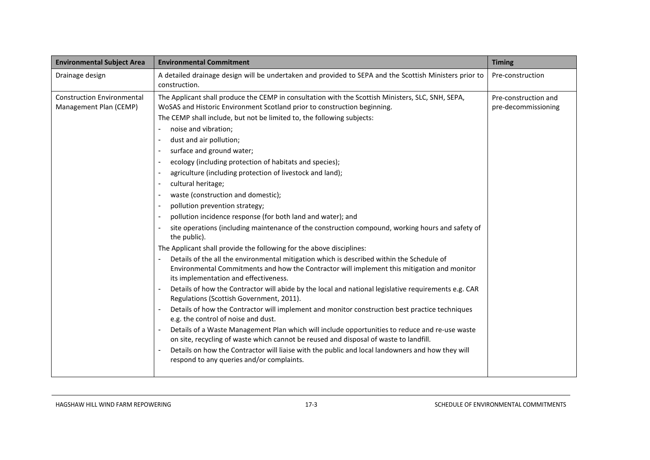| <b>Environmental Subject Area</b>                           | <b>Environmental Commitment</b>                                                                                                                                                                                                                                                                                                                                                                                                                                                                                                                                                                                                                                                                                                                                                                                                                                                                                                                                                                                                                                                                                                                                                                                                                                                                                                                                                                                                                                                                                                                                                                                                                                                                                                                                        | <b>Timing</b>                               |
|-------------------------------------------------------------|------------------------------------------------------------------------------------------------------------------------------------------------------------------------------------------------------------------------------------------------------------------------------------------------------------------------------------------------------------------------------------------------------------------------------------------------------------------------------------------------------------------------------------------------------------------------------------------------------------------------------------------------------------------------------------------------------------------------------------------------------------------------------------------------------------------------------------------------------------------------------------------------------------------------------------------------------------------------------------------------------------------------------------------------------------------------------------------------------------------------------------------------------------------------------------------------------------------------------------------------------------------------------------------------------------------------------------------------------------------------------------------------------------------------------------------------------------------------------------------------------------------------------------------------------------------------------------------------------------------------------------------------------------------------------------------------------------------------------------------------------------------------|---------------------------------------------|
| Drainage design                                             | A detailed drainage design will be undertaken and provided to SEPA and the Scottish Ministers prior to<br>construction.                                                                                                                                                                                                                                                                                                                                                                                                                                                                                                                                                                                                                                                                                                                                                                                                                                                                                                                                                                                                                                                                                                                                                                                                                                                                                                                                                                                                                                                                                                                                                                                                                                                | Pre-construction                            |
| <b>Construction Environmental</b><br>Management Plan (CEMP) | The Applicant shall produce the CEMP in consultation with the Scottish Ministers, SLC, SNH, SEPA,<br>WoSAS and Historic Environment Scotland prior to construction beginning.<br>The CEMP shall include, but not be limited to, the following subjects:<br>noise and vibration;<br>$\overline{\phantom{a}}$<br>dust and air pollution;<br>surface and ground water;<br>$\blacksquare$<br>ecology (including protection of habitats and species);<br>agriculture (including protection of livestock and land);<br>cultural heritage;<br>waste (construction and domestic);<br>pollution prevention strategy;<br>pollution incidence response (for both land and water); and<br>site operations (including maintenance of the construction compound, working hours and safety of<br>the public).<br>The Applicant shall provide the following for the above disciplines:<br>Details of the all the environmental mitigation which is described within the Schedule of<br>Environmental Commitments and how the Contractor will implement this mitigation and monitor<br>its implementation and effectiveness.<br>Details of how the Contractor will abide by the local and national legislative requirements e.g. CAR<br>$\blacksquare$<br>Regulations (Scottish Government, 2011).<br>Details of how the Contractor will implement and monitor construction best practice techniques<br>e.g. the control of noise and dust.<br>Details of a Waste Management Plan which will include opportunities to reduce and re-use waste<br>on site, recycling of waste which cannot be reused and disposal of waste to landfill.<br>Details on how the Contractor will liaise with the public and local landowners and how they will<br>respond to any queries and/or complaints. | Pre-construction and<br>pre-decommissioning |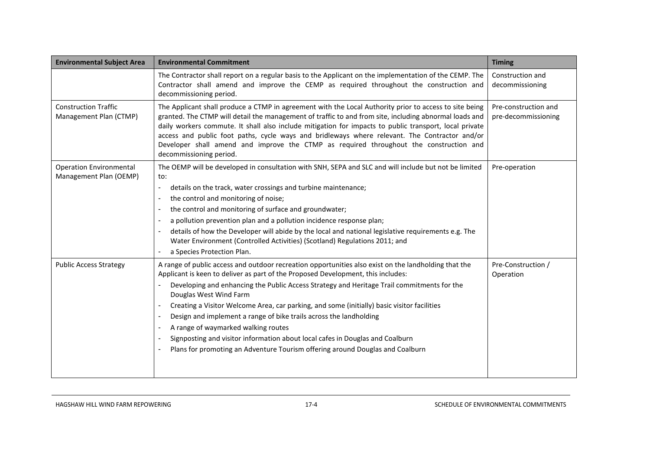| <b>Environmental Subject Area</b>                        | <b>Environmental Commitment</b>                                                                                                                                                                                                                                                                                                                                                                                                                                                                                                                                                                                                                                                                                                                                                                                      | <b>Timing</b>                               |
|----------------------------------------------------------|----------------------------------------------------------------------------------------------------------------------------------------------------------------------------------------------------------------------------------------------------------------------------------------------------------------------------------------------------------------------------------------------------------------------------------------------------------------------------------------------------------------------------------------------------------------------------------------------------------------------------------------------------------------------------------------------------------------------------------------------------------------------------------------------------------------------|---------------------------------------------|
|                                                          | The Contractor shall report on a regular basis to the Applicant on the implementation of the CEMP. The<br>Contractor shall amend and improve the CEMP as required throughout the construction and<br>decommissioning period.                                                                                                                                                                                                                                                                                                                                                                                                                                                                                                                                                                                         | Construction and<br>decommissioning         |
| <b>Construction Traffic</b><br>Management Plan (CTMP)    | The Applicant shall produce a CTMP in agreement with the Local Authority prior to access to site being<br>granted. The CTMP will detail the management of traffic to and from site, including abnormal loads and<br>daily workers commute. It shall also include mitigation for impacts to public transport, local private<br>access and public foot paths, cycle ways and bridleways where relevant. The Contractor and/or<br>Developer shall amend and improve the CTMP as required throughout the construction and<br>decommissioning period.                                                                                                                                                                                                                                                                     | Pre-construction and<br>pre-decommissioning |
| <b>Operation Environmental</b><br>Management Plan (OEMP) | The OEMP will be developed in consultation with SNH, SEPA and SLC and will include but not be limited<br>to:<br>details on the track, water crossings and turbine maintenance;<br>$\blacksquare$<br>the control and monitoring of noise;<br>$\blacksquare$<br>the control and monitoring of surface and groundwater;<br>a pollution prevention plan and a pollution incidence response plan;<br>$\blacksquare$<br>details of how the Developer will abide by the local and national legislative requirements e.g. The<br>Water Environment (Controlled Activities) (Scotland) Regulations 2011; and<br>a Species Protection Plan.                                                                                                                                                                                    | Pre-operation                               |
| <b>Public Access Strategy</b>                            | A range of public access and outdoor recreation opportunities also exist on the landholding that the<br>Applicant is keen to deliver as part of the Proposed Development, this includes:<br>Developing and enhancing the Public Access Strategy and Heritage Trail commitments for the<br>$\blacksquare$<br>Douglas West Wind Farm<br>Creating a Visitor Welcome Area, car parking, and some (initially) basic visitor facilities<br>$\overline{\phantom{a}}$<br>Design and implement a range of bike trails across the landholding<br>$\blacksquare$<br>A range of waymarked walking routes<br>$\blacksquare$<br>Signposting and visitor information about local cafes in Douglas and Coalburn<br>$\blacksquare$<br>Plans for promoting an Adventure Tourism offering around Douglas and Coalburn<br>$\blacksquare$ | Pre-Construction /<br>Operation             |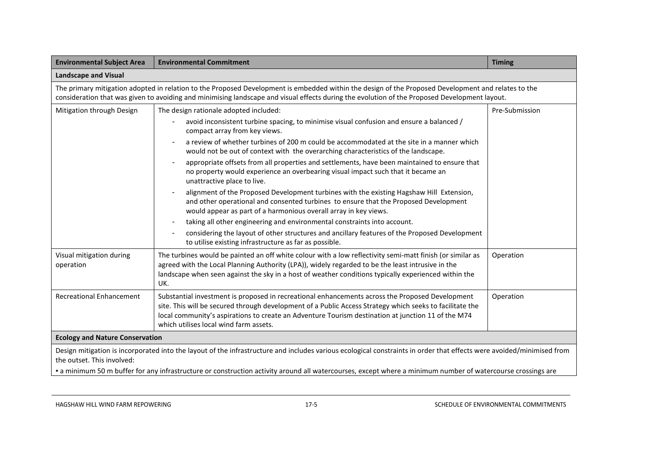| <b>Environmental Subject Area</b>                                                                                                                                                                                                                                                                                                                                  | <b>Environmental Commitment</b>                                                                                                                                                                                                                                                                                                                                                                                                                                                                                                                                                                                                                                                                                                                                                                                                                                                                                                                                                                                                                                                                                        | <b>Timing</b>  |
|--------------------------------------------------------------------------------------------------------------------------------------------------------------------------------------------------------------------------------------------------------------------------------------------------------------------------------------------------------------------|------------------------------------------------------------------------------------------------------------------------------------------------------------------------------------------------------------------------------------------------------------------------------------------------------------------------------------------------------------------------------------------------------------------------------------------------------------------------------------------------------------------------------------------------------------------------------------------------------------------------------------------------------------------------------------------------------------------------------------------------------------------------------------------------------------------------------------------------------------------------------------------------------------------------------------------------------------------------------------------------------------------------------------------------------------------------------------------------------------------------|----------------|
| <b>Landscape and Visual</b>                                                                                                                                                                                                                                                                                                                                        |                                                                                                                                                                                                                                                                                                                                                                                                                                                                                                                                                                                                                                                                                                                                                                                                                                                                                                                                                                                                                                                                                                                        |                |
| The primary mitigation adopted in relation to the Proposed Development is embedded within the design of the Proposed Development and relates to the<br>consideration that was given to avoiding and minimising landscape and visual effects during the evolution of the Proposed Development layout.                                                               |                                                                                                                                                                                                                                                                                                                                                                                                                                                                                                                                                                                                                                                                                                                                                                                                                                                                                                                                                                                                                                                                                                                        |                |
| Mitigation through Design                                                                                                                                                                                                                                                                                                                                          | The design rationale adopted included:<br>avoid inconsistent turbine spacing, to minimise visual confusion and ensure a balanced /<br>compact array from key views.<br>a review of whether turbines of 200 m could be accommodated at the site in a manner which<br>would not be out of context with the overarching characteristics of the landscape.<br>appropriate offsets from all properties and settlements, have been maintained to ensure that<br>no property would experience an overbearing visual impact such that it became an<br>unattractive place to live.<br>alignment of the Proposed Development turbines with the existing Hagshaw Hill Extension,<br>and other operational and consented turbines to ensure that the Proposed Development<br>would appear as part of a harmonious overall array in key views.<br>taking all other engineering and environmental constraints into account.<br>$\blacksquare$<br>considering the layout of other structures and ancillary features of the Proposed Development<br>$\overline{\phantom{a}}$<br>to utilise existing infrastructure as far as possible. | Pre-Submission |
| Visual mitigation during<br>operation                                                                                                                                                                                                                                                                                                                              | The turbines would be painted an off white colour with a low reflectivity semi-matt finish (or similar as<br>agreed with the Local Planning Authority (LPA)), widely regarded to be the least intrusive in the<br>landscape when seen against the sky in a host of weather conditions typically experienced within the<br>UK.                                                                                                                                                                                                                                                                                                                                                                                                                                                                                                                                                                                                                                                                                                                                                                                          | Operation      |
| <b>Recreational Enhancement</b>                                                                                                                                                                                                                                                                                                                                    | Substantial investment is proposed in recreational enhancements across the Proposed Development<br>site. This will be secured through development of a Public Access Strategy which seeks to facilitate the<br>local community's aspirations to create an Adventure Tourism destination at junction 11 of the M74<br>which utilises local wind farm assets.                                                                                                                                                                                                                                                                                                                                                                                                                                                                                                                                                                                                                                                                                                                                                            | Operation      |
| <b>Ecology and Nature Conservation</b>                                                                                                                                                                                                                                                                                                                             |                                                                                                                                                                                                                                                                                                                                                                                                                                                                                                                                                                                                                                                                                                                                                                                                                                                                                                                                                                                                                                                                                                                        |                |
| Design mitigation is incorporated into the layout of the infrastructure and includes various ecological constraints in order that effects were avoided/minimised from<br>the outset. This involved:<br>. a minimum 50 m buffer for any infrastructure or construction activity around all watercourses, except where a minimum number of watercourse crossings are |                                                                                                                                                                                                                                                                                                                                                                                                                                                                                                                                                                                                                                                                                                                                                                                                                                                                                                                                                                                                                                                                                                                        |                |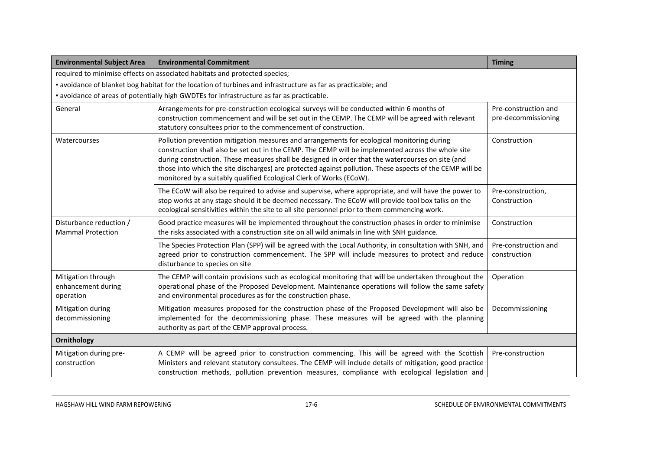| <b>Environmental Subject Area</b>                                                                             | <b>Environmental Commitment</b>                                                                                                                                                                                                                                                                                                                                                                                                                                                          | <b>Timing</b>                               |
|---------------------------------------------------------------------------------------------------------------|------------------------------------------------------------------------------------------------------------------------------------------------------------------------------------------------------------------------------------------------------------------------------------------------------------------------------------------------------------------------------------------------------------------------------------------------------------------------------------------|---------------------------------------------|
| required to minimise effects on associated habitats and protected species;                                    |                                                                                                                                                                                                                                                                                                                                                                                                                                                                                          |                                             |
| · avoidance of blanket bog habitat for the location of turbines and infrastructure as far as practicable; and |                                                                                                                                                                                                                                                                                                                                                                                                                                                                                          |                                             |
|                                                                                                               | . avoidance of areas of potentially high GWDTEs for infrastructure as far as practicable.                                                                                                                                                                                                                                                                                                                                                                                                |                                             |
| General                                                                                                       | Arrangements for pre-construction ecological surveys will be conducted within 6 months of<br>construction commencement and will be set out in the CEMP. The CEMP will be agreed with relevant<br>statutory consultees prior to the commencement of construction.                                                                                                                                                                                                                         | Pre-construction and<br>pre-decommissioning |
| Watercourses                                                                                                  | Pollution prevention mitigation measures and arrangements for ecological monitoring during<br>construction shall also be set out in the CEMP. The CEMP will be implemented across the whole site<br>during construction. These measures shall be designed in order that the watercourses on site (and<br>those into which the site discharges) are protected against pollution. These aspects of the CEMP will be<br>monitored by a suitably qualified Ecological Clerk of Works (ECoW). | Construction                                |
|                                                                                                               | The ECoW will also be required to advise and supervise, where appropriate, and will have the power to<br>stop works at any stage should it be deemed necessary. The ECoW will provide tool box talks on the<br>ecological sensitivities within the site to all site personnel prior to them commencing work.                                                                                                                                                                             | Pre-construction,<br>Construction           |
| Disturbance reduction /<br><b>Mammal Protection</b>                                                           | Good practice measures will be implemented throughout the construction phases in order to minimise<br>the risks associated with a construction site on all wild animals in line with SNH guidance.                                                                                                                                                                                                                                                                                       | Construction                                |
|                                                                                                               | The Species Protection Plan (SPP) will be agreed with the Local Authority, in consultation with SNH, and<br>agreed prior to construction commencement. The SPP will include measures to protect and reduce<br>disturbance to species on site                                                                                                                                                                                                                                             | Pre-construction and<br>construction        |
| Mitigation through<br>enhancement during<br>operation                                                         | The CEMP will contain provisions such as ecological monitoring that will be undertaken throughout the<br>operational phase of the Proposed Development. Maintenance operations will follow the same safety<br>and environmental procedures as for the construction phase.                                                                                                                                                                                                                | Operation                                   |
| Mitigation during<br>decommissioning                                                                          | Mitigation measures proposed for the construction phase of the Proposed Development will also be<br>implemented for the decommissioning phase. These measures will be agreed with the planning<br>authority as part of the CEMP approval process.                                                                                                                                                                                                                                        | Decommissioning                             |
| <b>Ornithology</b>                                                                                            |                                                                                                                                                                                                                                                                                                                                                                                                                                                                                          |                                             |
| Mitigation during pre-<br>construction                                                                        | A CEMP will be agreed prior to construction commencing. This will be agreed with the Scottish<br>Ministers and relevant statutory consultees. The CEMP will include details of mitigation, good practice<br>construction methods, pollution prevention measures, compliance with ecological legislation and                                                                                                                                                                              | Pre-construction                            |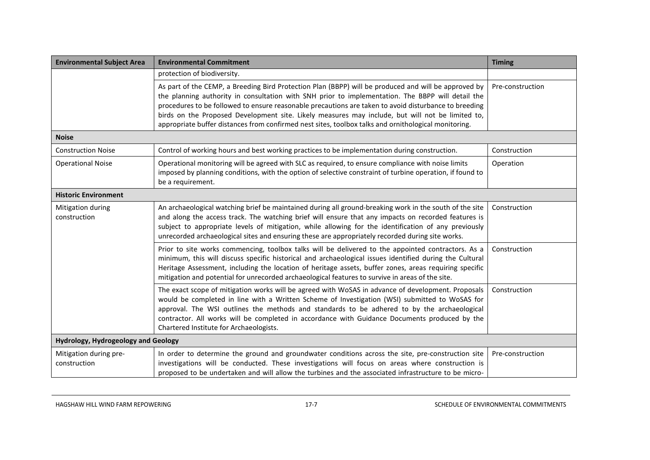| <b>Environmental Subject Area</b>          | <b>Environmental Commitment</b>                                                                                                                                                                                                                                                                                                                                                                                                                                                                                                | <b>Timing</b>    |
|--------------------------------------------|--------------------------------------------------------------------------------------------------------------------------------------------------------------------------------------------------------------------------------------------------------------------------------------------------------------------------------------------------------------------------------------------------------------------------------------------------------------------------------------------------------------------------------|------------------|
|                                            | protection of biodiversity.                                                                                                                                                                                                                                                                                                                                                                                                                                                                                                    |                  |
|                                            | As part of the CEMP, a Breeding Bird Protection Plan (BBPP) will be produced and will be approved by<br>the planning authority in consultation with SNH prior to implementation. The BBPP will detail the<br>procedures to be followed to ensure reasonable precautions are taken to avoid disturbance to breeding<br>birds on the Proposed Development site. Likely measures may include, but will not be limited to,<br>appropriate buffer distances from confirmed nest sites, toolbox talks and ornithological monitoring. | Pre-construction |
| <b>Noise</b>                               |                                                                                                                                                                                                                                                                                                                                                                                                                                                                                                                                |                  |
| <b>Construction Noise</b>                  | Control of working hours and best working practices to be implementation during construction.                                                                                                                                                                                                                                                                                                                                                                                                                                  | Construction     |
| <b>Operational Noise</b>                   | Operational monitoring will be agreed with SLC as required, to ensure compliance with noise limits<br>imposed by planning conditions, with the option of selective constraint of turbine operation, if found to<br>be a requirement.                                                                                                                                                                                                                                                                                           | Operation        |
| <b>Historic Environment</b>                |                                                                                                                                                                                                                                                                                                                                                                                                                                                                                                                                |                  |
| Mitigation during<br>construction          | An archaeological watching brief be maintained during all ground-breaking work in the south of the site<br>and along the access track. The watching brief will ensure that any impacts on recorded features is<br>subject to appropriate levels of mitigation, while allowing for the identification of any previously<br>unrecorded archaeological sites and ensuring these are appropriately recorded during site works.                                                                                                     | Construction     |
|                                            | Prior to site works commencing, toolbox talks will be delivered to the appointed contractors. As a<br>minimum, this will discuss specific historical and archaeological issues identified during the Cultural<br>Heritage Assessment, including the location of heritage assets, buffer zones, areas requiring specific<br>mitigation and potential for unrecorded archaeological features to survive in areas of the site.                                                                                                    | Construction     |
|                                            | The exact scope of mitigation works will be agreed with WoSAS in advance of development. Proposals<br>would be completed in line with a Written Scheme of Investigation (WSI) submitted to WoSAS for<br>approval. The WSI outlines the methods and standards to be adhered to by the archaeological<br>contractor. All works will be completed in accordance with Guidance Documents produced by the<br>Chartered Institute for Archaeologists.                                                                                | Construction     |
| <b>Hydrology, Hydrogeology and Geology</b> |                                                                                                                                                                                                                                                                                                                                                                                                                                                                                                                                |                  |
| Mitigation during pre-<br>construction     | In order to determine the ground and groundwater conditions across the site, pre-construction site<br>investigations will be conducted. These investigations will focus on areas where construction is<br>proposed to be undertaken and will allow the turbines and the associated infrastructure to be micro-                                                                                                                                                                                                                 | Pre-construction |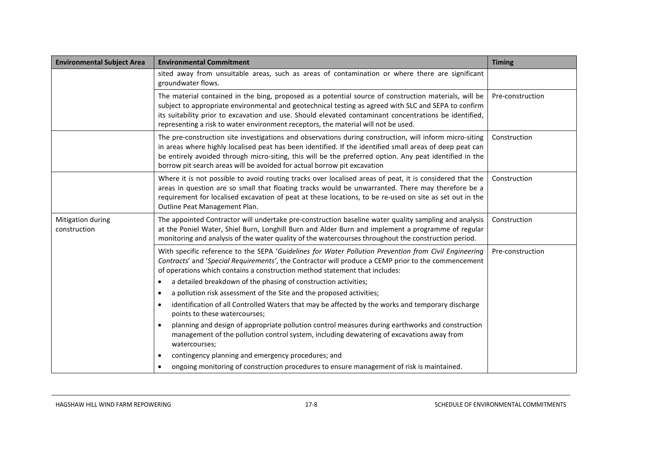| <b>Environmental Subject Area</b> | <b>Environmental Commitment</b>                                                                                                                                                                                                                                                                                                                                                                               | <b>Timing</b>    |
|-----------------------------------|---------------------------------------------------------------------------------------------------------------------------------------------------------------------------------------------------------------------------------------------------------------------------------------------------------------------------------------------------------------------------------------------------------------|------------------|
|                                   | sited away from unsuitable areas, such as areas of contamination or where there are significant<br>groundwater flows.                                                                                                                                                                                                                                                                                         |                  |
|                                   | The material contained in the bing, proposed as a potential source of construction materials, will be<br>subject to appropriate environmental and geotechnical testing as agreed with SLC and SEPA to confirm<br>its suitability prior to excavation and use. Should elevated contaminant concentrations be identified,<br>representing a risk to water environment receptors, the material will not be used. | Pre-construction |
|                                   | The pre-construction site investigations and observations during construction, will inform micro-siting<br>in areas where highly localised peat has been identified. If the identified small areas of deep peat can<br>be entirely avoided through micro-siting, this will be the preferred option. Any peat identified in the<br>borrow pit search areas will be avoided for actual borrow pit excavation    | Construction     |
|                                   | Where it is not possible to avoid routing tracks over localised areas of peat, it is considered that the<br>areas in question are so small that floating tracks would be unwarranted. There may therefore be a<br>requirement for localised excavation of peat at these locations, to be re-used on site as set out in the<br>Outline Peat Management Plan.                                                   | Construction     |
| Mitigation during<br>construction | The appointed Contractor will undertake pre-construction baseline water quality sampling and analysis<br>at the Poniel Water, Shiel Burn, Longhill Burn and Alder Burn and implement a programme of regular<br>monitoring and analysis of the water quality of the watercourses throughout the construction period.                                                                                           | Construction     |
|                                   | With specific reference to the SEPA 'Guidelines for Water Pollution Prevention from Civil Engineering<br>Contracts' and 'Special Requirements', the Contractor will produce a CEMP prior to the commencement<br>of operations which contains a construction method statement that includes:                                                                                                                   | Pre-construction |
|                                   | a detailed breakdown of the phasing of construction activities;<br>$\bullet$                                                                                                                                                                                                                                                                                                                                  |                  |
|                                   | a pollution risk assessment of the Site and the proposed activities;<br>$\bullet$                                                                                                                                                                                                                                                                                                                             |                  |
|                                   | identification of all Controlled Waters that may be affected by the works and temporary discharge<br>$\bullet$<br>points to these watercourses;                                                                                                                                                                                                                                                               |                  |
|                                   | planning and design of appropriate pollution control measures during earthworks and construction<br>$\bullet$<br>management of the pollution control system, including dewatering of excavations away from<br>watercourses;                                                                                                                                                                                   |                  |
|                                   | contingency planning and emergency procedures; and<br>$\bullet$                                                                                                                                                                                                                                                                                                                                               |                  |
|                                   | ongoing monitoring of construction procedures to ensure management of risk is maintained.<br>$\bullet$                                                                                                                                                                                                                                                                                                        |                  |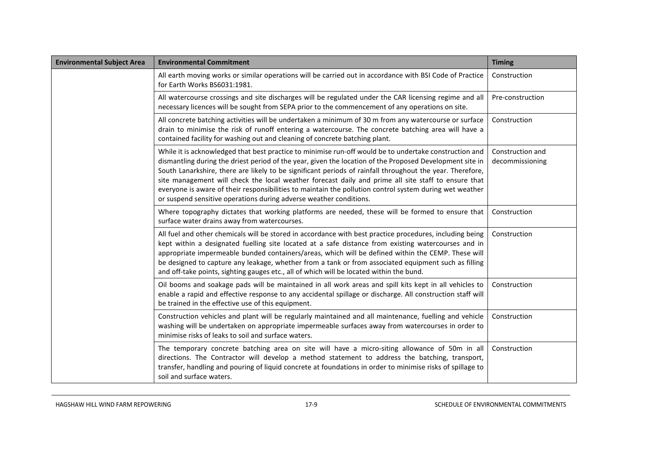| <b>Environmental Subject Area</b> | <b>Environmental Commitment</b>                                                                                                                                                                                                                                                                                                                                                                                                                                                                                                                                                                                         | <b>Timing</b>                       |
|-----------------------------------|-------------------------------------------------------------------------------------------------------------------------------------------------------------------------------------------------------------------------------------------------------------------------------------------------------------------------------------------------------------------------------------------------------------------------------------------------------------------------------------------------------------------------------------------------------------------------------------------------------------------------|-------------------------------------|
|                                   | All earth moving works or similar operations will be carried out in accordance with BSI Code of Practice<br>for Earth Works BS6031:1981.                                                                                                                                                                                                                                                                                                                                                                                                                                                                                | Construction                        |
|                                   | All watercourse crossings and site discharges will be regulated under the CAR licensing regime and all<br>necessary licences will be sought from SEPA prior to the commencement of any operations on site.                                                                                                                                                                                                                                                                                                                                                                                                              | Pre-construction                    |
|                                   | All concrete batching activities will be undertaken a minimum of 30 m from any watercourse or surface<br>drain to minimise the risk of runoff entering a watercourse. The concrete batching area will have a<br>contained facility for washing out and cleaning of concrete batching plant.                                                                                                                                                                                                                                                                                                                             | Construction                        |
|                                   | While it is acknowledged that best practice to minimise run-off would be to undertake construction and<br>dismantling during the driest period of the year, given the location of the Proposed Development site in<br>South Lanarkshire, there are likely to be significant periods of rainfall throughout the year. Therefore,<br>site management will check the local weather forecast daily and prime all site staff to ensure that<br>everyone is aware of their responsibilities to maintain the pollution control system during wet weather<br>or suspend sensitive operations during adverse weather conditions. | Construction and<br>decommissioning |
|                                   | Where topography dictates that working platforms are needed, these will be formed to ensure that<br>surface water drains away from watercourses.                                                                                                                                                                                                                                                                                                                                                                                                                                                                        | Construction                        |
|                                   | All fuel and other chemicals will be stored in accordance with best practice procedures, including being<br>kept within a designated fuelling site located at a safe distance from existing watercourses and in<br>appropriate impermeable bunded containers/areas, which will be defined within the CEMP. These will<br>be designed to capture any leakage, whether from a tank or from associated equipment such as filling<br>and off-take points, sighting gauges etc., all of which will be located within the bund.                                                                                               | Construction                        |
|                                   | Oil booms and soakage pads will be maintained in all work areas and spill kits kept in all vehicles to<br>enable a rapid and effective response to any accidental spillage or discharge. All construction staff will<br>be trained in the effective use of this equipment.                                                                                                                                                                                                                                                                                                                                              | Construction                        |
|                                   | Construction vehicles and plant will be regularly maintained and all maintenance, fuelling and vehicle<br>washing will be undertaken on appropriate impermeable surfaces away from watercourses in order to<br>minimise risks of leaks to soil and surface waters.                                                                                                                                                                                                                                                                                                                                                      | Construction                        |
|                                   | The temporary concrete batching area on site will have a micro-siting allowance of 50m in all<br>directions. The Contractor will develop a method statement to address the batching, transport,<br>transfer, handling and pouring of liquid concrete at foundations in order to minimise risks of spillage to<br>soil and surface waters.                                                                                                                                                                                                                                                                               | Construction                        |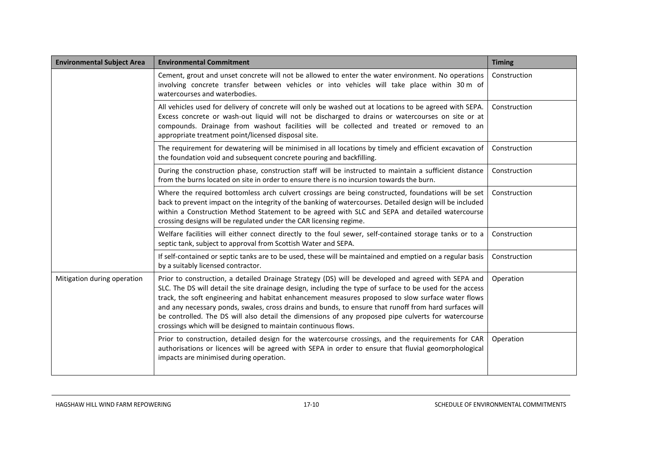| <b>Environmental Subject Area</b> | <b>Environmental Commitment</b>                                                                                                                                                                                                                                                                                                                                                                                                                                                                                                                                                                          | <b>Timing</b> |
|-----------------------------------|----------------------------------------------------------------------------------------------------------------------------------------------------------------------------------------------------------------------------------------------------------------------------------------------------------------------------------------------------------------------------------------------------------------------------------------------------------------------------------------------------------------------------------------------------------------------------------------------------------|---------------|
|                                   | Cement, grout and unset concrete will not be allowed to enter the water environment. No operations<br>involving concrete transfer between vehicles or into vehicles will take place within 30 m of<br>watercourses and waterbodies.                                                                                                                                                                                                                                                                                                                                                                      | Construction  |
|                                   | All vehicles used for delivery of concrete will only be washed out at locations to be agreed with SEPA.<br>Excess concrete or wash-out liquid will not be discharged to drains or watercourses on site or at<br>compounds. Drainage from washout facilities will be collected and treated or removed to an<br>appropriate treatment point/licensed disposal site.                                                                                                                                                                                                                                        | Construction  |
|                                   | The requirement for dewatering will be minimised in all locations by timely and efficient excavation of<br>the foundation void and subsequent concrete pouring and backfilling.                                                                                                                                                                                                                                                                                                                                                                                                                          | Construction  |
|                                   | During the construction phase, construction staff will be instructed to maintain a sufficient distance<br>from the burns located on site in order to ensure there is no incursion towards the burn.                                                                                                                                                                                                                                                                                                                                                                                                      | Construction  |
|                                   | Where the required bottomless arch culvert crossings are being constructed, foundations will be set<br>back to prevent impact on the integrity of the banking of watercourses. Detailed design will be included<br>within a Construction Method Statement to be agreed with SLC and SEPA and detailed watercourse<br>crossing designs will be regulated under the CAR licensing regime.                                                                                                                                                                                                                  | Construction  |
|                                   | Welfare facilities will either connect directly to the foul sewer, self-contained storage tanks or to a<br>septic tank, subject to approval from Scottish Water and SEPA.                                                                                                                                                                                                                                                                                                                                                                                                                                | Construction  |
|                                   | If self-contained or septic tanks are to be used, these will be maintained and emptied on a regular basis<br>by a suitably licensed contractor.                                                                                                                                                                                                                                                                                                                                                                                                                                                          | Construction  |
| Mitigation during operation       | Prior to construction, a detailed Drainage Strategy (DS) will be developed and agreed with SEPA and<br>SLC. The DS will detail the site drainage design, including the type of surface to be used for the access<br>track, the soft engineering and habitat enhancement measures proposed to slow surface water flows<br>and any necessary ponds, swales, cross drains and bunds, to ensure that runoff from hard surfaces will<br>be controlled. The DS will also detail the dimensions of any proposed pipe culverts for watercourse<br>crossings which will be designed to maintain continuous flows. | Operation     |
|                                   | Prior to construction, detailed design for the watercourse crossings, and the requirements for CAR<br>authorisations or licences will be agreed with SEPA in order to ensure that fluvial geomorphological<br>impacts are minimised during operation.                                                                                                                                                                                                                                                                                                                                                    | Operation     |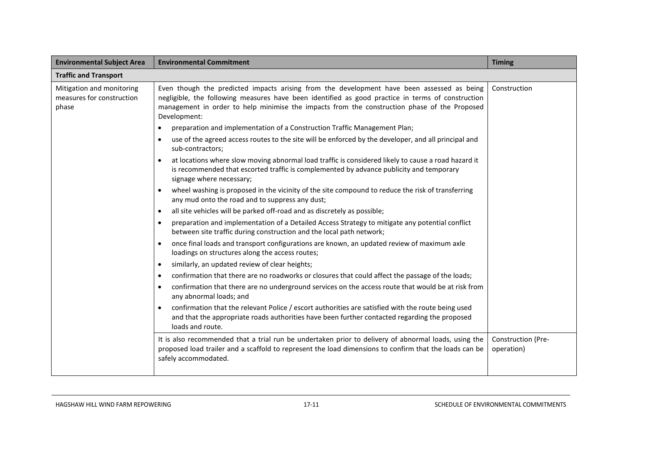| <b>Environmental Subject Area</b>                               | <b>Environmental Commitment</b>                                                                                                                                                                                                                                                                                 | <b>Timing</b>                    |
|-----------------------------------------------------------------|-----------------------------------------------------------------------------------------------------------------------------------------------------------------------------------------------------------------------------------------------------------------------------------------------------------------|----------------------------------|
| <b>Traffic and Transport</b>                                    |                                                                                                                                                                                                                                                                                                                 |                                  |
| Mitigation and monitoring<br>measures for construction<br>phase | Even though the predicted impacts arising from the development have been assessed as being<br>negligible, the following measures have been identified as good practice in terms of construction<br>management in order to help minimise the impacts from the construction phase of the Proposed<br>Development: | Construction                     |
|                                                                 | preparation and implementation of a Construction Traffic Management Plan;<br>$\bullet$                                                                                                                                                                                                                          |                                  |
|                                                                 | use of the agreed access routes to the site will be enforced by the developer, and all principal and<br>$\bullet$<br>sub-contractors;                                                                                                                                                                           |                                  |
|                                                                 | at locations where slow moving abnormal load traffic is considered likely to cause a road hazard it<br>$\bullet$<br>is recommended that escorted traffic is complemented by advance publicity and temporary<br>signage where necessary;                                                                         |                                  |
|                                                                 | wheel washing is proposed in the vicinity of the site compound to reduce the risk of transferring<br>$\bullet$<br>any mud onto the road and to suppress any dust;                                                                                                                                               |                                  |
|                                                                 | all site vehicles will be parked off-road and as discretely as possible;<br>$\bullet$                                                                                                                                                                                                                           |                                  |
|                                                                 | preparation and implementation of a Detailed Access Strategy to mitigate any potential conflict<br>$\bullet$<br>between site traffic during construction and the local path network;                                                                                                                            |                                  |
|                                                                 | once final loads and transport configurations are known, an updated review of maximum axle<br>$\bullet$<br>loadings on structures along the access routes;                                                                                                                                                      |                                  |
|                                                                 | similarly, an updated review of clear heights;<br>$\bullet$                                                                                                                                                                                                                                                     |                                  |
|                                                                 | confirmation that there are no roadworks or closures that could affect the passage of the loads;<br>$\bullet$                                                                                                                                                                                                   |                                  |
|                                                                 | confirmation that there are no underground services on the access route that would be at risk from<br>$\bullet$<br>any abnormal loads; and                                                                                                                                                                      |                                  |
|                                                                 | confirmation that the relevant Police / escort authorities are satisfied with the route being used<br>$\bullet$<br>and that the appropriate roads authorities have been further contacted regarding the proposed<br>loads and route.                                                                            |                                  |
|                                                                 | It is also recommended that a trial run be undertaken prior to delivery of abnormal loads, using the<br>proposed load trailer and a scaffold to represent the load dimensions to confirm that the loads can be<br>safely accommodated.                                                                          | Construction (Pre-<br>operation) |